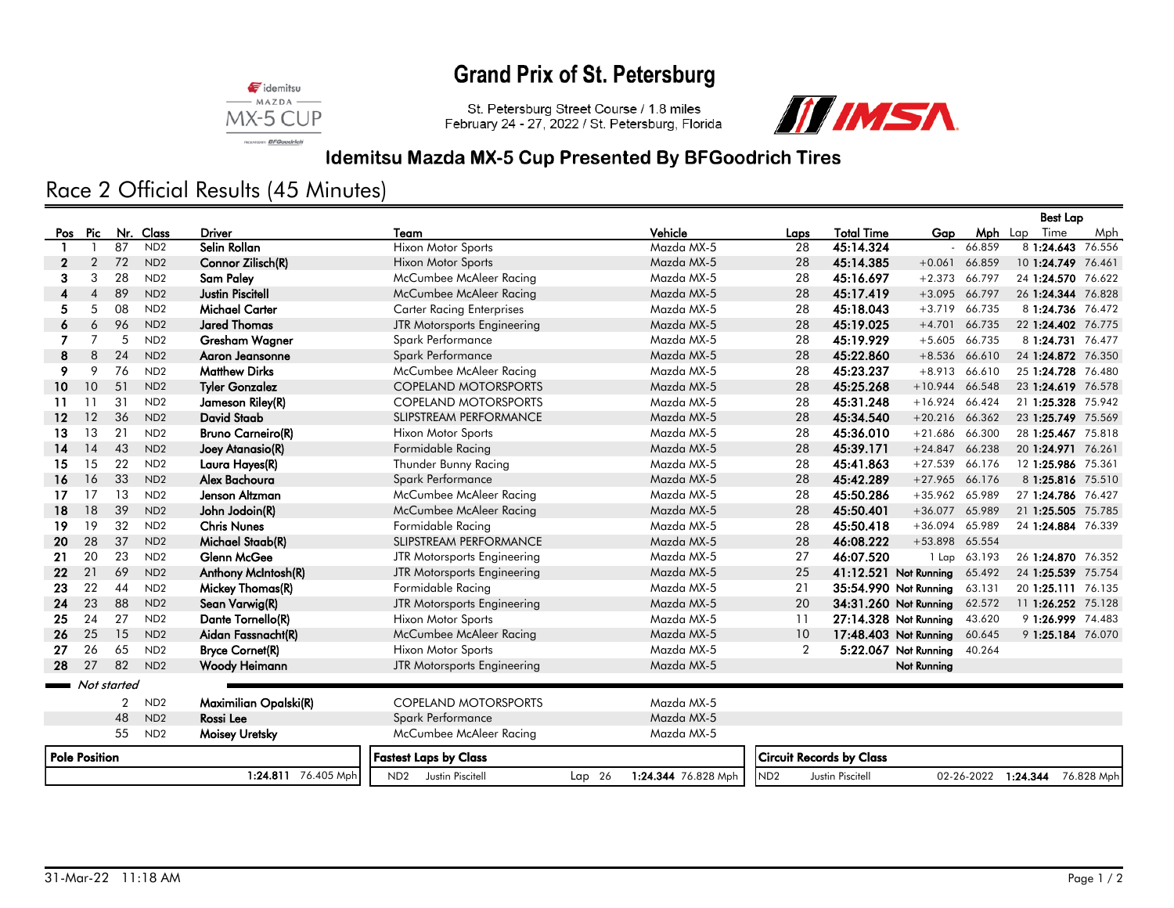# **Grand Prix of St. Petersburg**



St. Petersburg Street Course / 1.8 miles<br>February 24 - 27, 2022 / St. Petersburg, Florida



### Idemitsu Mazda MX-5 Cup Presented By BFGoodrich Tires

## Race 2 Official Results (45 Minutes)

|                      |                           |    |                 |                          |                                  |        |                     |                                 |                       |                       | <b>Best Lap</b> |                     |            |
|----------------------|---------------------------|----|-----------------|--------------------------|----------------------------------|--------|---------------------|---------------------------------|-----------------------|-----------------------|-----------------|---------------------|------------|
| Pos                  | Pic                       |    | Nr. Class       | <b>Driver</b>            | Team                             |        | Vehicle             | Laps                            | <b>Total Time</b>     | Gap                   | <b>Mph</b> Lap  | Time                | Mph        |
|                      |                           | 87 | ND <sub>2</sub> | Selin Rollan             | <b>Hixon Motor Sports</b>        |        | Mazda MX-5          | 28                              | 45:14.324             |                       | 66.859          | 8 1:24.643 76.556   |            |
| 2                    | 2                         | 72 | ND <sub>2</sub> | Connor Zilisch(R)        | <b>Hixon Motor Sports</b>        |        | Mazda MX-5          | 28                              | 45:14.385             | $+0.061$              | 66.859          | 10 1:24.749 76.461  |            |
| 3                    | 3                         | 28 | ND <sub>2</sub> | Sam Paley                | McCumbee McAleer Racing          |        | Mazda MX-5          | 28                              | 45:16.697             | $+2.373$              | 66.797          | 24 1:24.570 76.622  |            |
|                      | $\boldsymbol{\varLambda}$ | 89 | ND <sub>2</sub> | <b>Justin Piscitell</b>  | McCumbee McAleer Racing          |        | Mazda MX-5          | 28                              | 45:17.419             | $+3.095$              | 66.797          | 26 1:24.344 76.828  |            |
| 5.                   | 5                         | 08 | ND <sub>2</sub> | <b>Michael Carter</b>    | <b>Carter Racing Enterprises</b> |        | Mazda MX-5          | 28                              | 45:18.043             | $+3.719$              | 66.735          | 8 1:24.736 76.472   |            |
| 6                    | 6                         | 96 | ND <sub>2</sub> | <b>Jared Thomas</b>      | JTR Motorsports Engineering      |        | Mazda MX-5          | 28                              | 45:19.025             | $+4.701$              | 66.735          | 22 1:24.402 76.775  |            |
|                      | 7                         | 5  | ND <sub>2</sub> | Gresham Wagner           | Spark Performance                |        | Mazda MX-5          | 28                              | 45:19.929             | $+5.605$              | 66.735          | 8 1:24.731 76.477   |            |
| 8                    | 8                         | 24 | ND <sub>2</sub> | Agron Jeansonne          | Spark Performance                |        | Mazda MX-5          | 28                              | 45:22.860             | $+8.536$ 66.610       |                 | 24 1:24.872 76.350  |            |
| 9                    | 9                         | 76 | ND <sub>2</sub> | <b>Matthew Dirks</b>     | McCumbee McAleer Racing          |        | Mazda MX-5          | 28                              | 45:23.237             | $+8.913$              | 66.610          | 25 1:24.728 76.480  |            |
| 10 <sup>°</sup>      | 10                        | 51 | ND <sub>2</sub> | <b>Tyler Gonzalez</b>    | <b>COPELAND MOTORSPORTS</b>      |        | Mazda MX-5          | 28                              | 45:25.268             | $+10.944$             | 66.548          | 23 1:24.619 76.578  |            |
| 11                   | 11                        | 31 | ND <sub>2</sub> | Jameson Riley(R)         | <b>COPELAND MOTORSPORTS</b>      |        | Mazda MX-5          | 28                              | 45:31.248             | $+16.924$             | 66.424          | 21 1:25.328 75.942  |            |
| 12                   | 12                        | 36 | ND <sub>2</sub> | <b>David Staab</b>       | <b>SLIPSTREAM PERFORMANCE</b>    |        | Mazda MX-5          | 28                              | 45:34.540             | $+20.216$ 66.362      |                 | 23 1:25.749 75.569  |            |
| 13                   | 13                        | 21 | ND <sub>2</sub> | <b>Bruno Carneiro(R)</b> | <b>Hixon Motor Sports</b>        |        | Mazda MX-5          | 28                              | 45:36.010             | $+21.686$             | 66.300          | 28 1:25.467 75.818  |            |
| 14                   | 14                        | 43 | ND <sub>2</sub> | Joey Atanasio(R)         | Formidable Racing                |        | Mazda MX-5          | 28                              | 45:39.171             | $+24.847$             | 66.238          | 20 1:24.971 76.261  |            |
| 15                   | 15                        | 22 | ND <sub>2</sub> | Laura Hayes(R)           | Thunder Bunny Racing             |        | Mazda MX-5          | 28                              | 45:41.863             | $+27.539$             | 66.176          | 12 1:25.986 75.361  |            |
| 16                   | 16                        | 33 | ND <sub>2</sub> | Alex Bachoura            | Spark Performance                |        | Mazda MX-5          | 28                              | 45:42.289             | $+27.965$             | 66.176          | 8 1:25.816 75.510   |            |
| 17                   | 17                        | 13 | ND <sub>2</sub> | Jenson Altzman           | McCumbee McAleer Racing          |        | Mazda MX-5          | 28                              | 45:50.286             | $+35.962$             | 65.989          | 27 1:24.786 76.427  |            |
| 18                   | 18                        | 39 | ND <sub>2</sub> | John Jodoin(R)           | McCumbee McAleer Racing          |        | Mazda MX-5          | 28                              | 45:50.401             | $+36.077$             | 65.989          | 21 1:25.505 75.785  |            |
| 19                   | 19                        | 32 | ND <sub>2</sub> | <b>Chris Nunes</b>       | Formidable Racing                |        | Mazda MX-5          | 28                              | 45:50.418             | $+36.094$             | 65.989          | 24 1:24.884 76.339  |            |
| 20                   | 28                        | 37 | ND <sub>2</sub> | Michael Staab(R)         | SLIPSTREAM PERFORMANCE           |        | Mazda MX-5          | 28                              | 46:08.222             | $+53.898$             | 65.554          |                     |            |
| 21                   | 20                        | 23 | ND <sub>2</sub> | Glenn McGee              | JTR Motorsports Engineering      |        | Mazda MX-5          | 27                              | 46:07.520             | 1 Lap                 | 63.193          | 26 1:24.870 76.352  |            |
| 22                   | 21                        | 69 | ND <sub>2</sub> | Anthony McIntosh(R)      | JTR Motorsports Engineering      |        | Mazda MX-5          | 25                              | 41:12.521 Not Running |                       | 65.492          | 24 1:25.539 75.754  |            |
| 23                   | 22                        | 44 | ND <sub>2</sub> | Mickey Thomas(R)         | Formidable Racing                |        | Mazda MX-5          | 21                              |                       | 35:54.990 Not Running | 63.131          | 20 1:25.111         | 76.135     |
| 24                   | 23                        | 88 | ND <sub>2</sub> | Sean Varwig(R)           | JTR Motorsports Engineering      |        | Mazda MX-5          | 20                              | 34:31.260 Not Running |                       | 62.572          | 11 1:26.252 75.128  |            |
| 25                   | 24                        | 27 | ND <sub>2</sub> | Dante Tornello(R)        | <b>Hixon Motor Sports</b>        |        | Mazda MX-5          | 11                              |                       | 27:14.328 Not Running | 43.620          | 9 1:26.999 74.483   |            |
| 26                   | 25                        | 15 | ND <sub>2</sub> | Aidan Fassnacht(R)       | McCumbee McAleer Racing          |        | Mazda MX-5          | 10                              |                       | 17:48.403 Not Running | 60.645          | 9 1:25.184 76.070   |            |
| 27                   | 26                        | 65 | ND <sub>2</sub> | <b>Bryce Cornet(R)</b>   | <b>Hixon Motor Sports</b>        |        | Mazda MX-5          | $\overline{2}$                  |                       | 5:22.067 Not Running  | 40.264          |                     |            |
| 28                   | 27                        | 82 | ND <sub>2</sub> | Woody Heimann            | JTR Motorsports Engineering      |        | Mazda MX-5          |                                 |                       | Not Running           |                 |                     |            |
| Not started          |                           |    |                 |                          |                                  |        |                     |                                 |                       |                       |                 |                     |            |
|                      |                           | 2  | ND <sub>2</sub> | Maximilian Opalski(R)    | <b>COPELAND MOTORSPORTS</b>      |        | Mazda MX-5          |                                 |                       |                       |                 |                     |            |
|                      |                           | 48 | ND <sub>2</sub> | Rossi Lee                | Spark Performance                |        | Mazda MX-5          |                                 |                       |                       |                 |                     |            |
|                      |                           | 55 | ND <sub>2</sub> | Moisey Uretsky           | McCumbee McAleer Racing          |        | Mazda MX-5          |                                 |                       |                       |                 |                     |            |
| <b>Pole Position</b> |                           |    |                 |                          | <b>Fastest Laps by Class</b>     |        |                     | <b>Circuit Records by Class</b> |                       |                       |                 |                     |            |
|                      |                           |    |                 | 1:24.811 76.405 Mph      | ND2 Justin Piscitell             | Lap 26 | 1:24.344 76.828 Mph | ND <sub>2</sub>                 | Justin Piscitell      |                       |                 | 02-26-2022 1:24.344 | 76.828 Mph |
|                      |                           |    |                 |                          |                                  |        |                     |                                 |                       |                       |                 |                     |            |